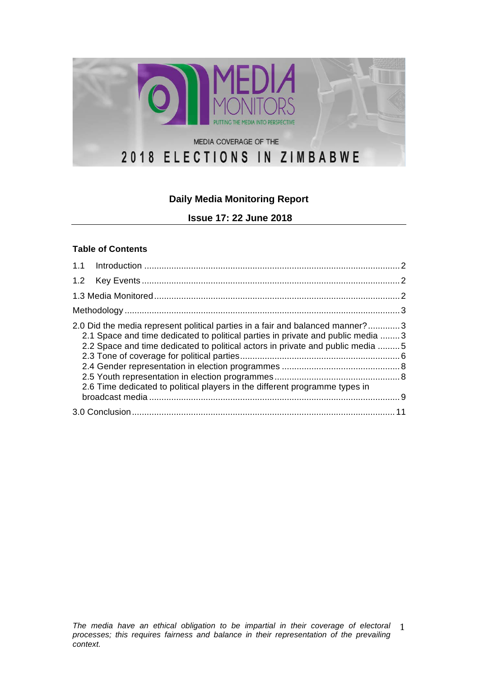

# **Daily Media Monitoring Report**

**Issue 17: 22 June 2018**

#### **Table of Contents**

| 2.0 Did the media represent political parties in a fair and balanced manner?3<br>2.1 Space and time dedicated to political parties in private and public media  3<br>2.2 Space and time dedicated to political actors in private and public media  5<br>2.6 Time dedicated to political players in the different programme types in |  |
|-------------------------------------------------------------------------------------------------------------------------------------------------------------------------------------------------------------------------------------------------------------------------------------------------------------------------------------|--|
|                                                                                                                                                                                                                                                                                                                                     |  |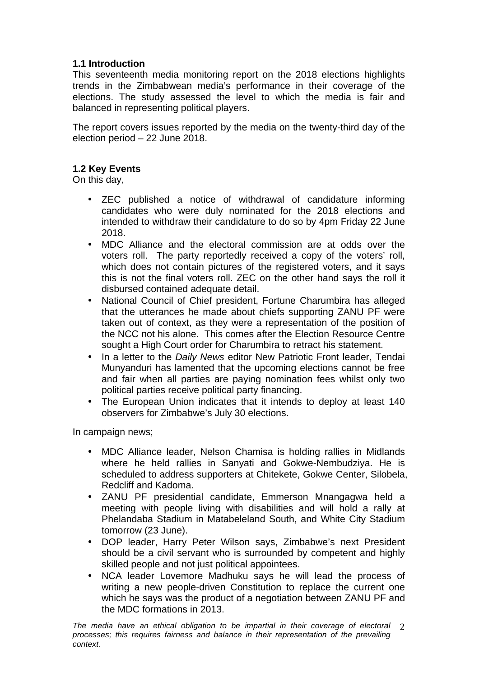### **1.1 Introduction**

This seventeenth media monitoring report on the 2018 elections highlights trends in the Zimbabwean media's performance in their coverage of the elections. The study assessed the level to which the media is fair and balanced in representing political players.

The report covers issues reported by the media on the twenty-third day of the election period – 22 June 2018.

### **1.2 Key Events**

On this day,

- ZEC published a notice of withdrawal of candidature informing candidates who were duly nominated for the 2018 elections and intended to withdraw their candidature to do so by 4pm Friday 22 June 2018.
- MDC Alliance and the electoral commission are at odds over the voters roll. The party reportedly received a copy of the voters' roll, which does not contain pictures of the registered voters, and it says this is not the final voters roll. ZEC on the other hand says the roll it disbursed contained adequate detail.
- National Council of Chief president, Fortune Charumbira has alleged that the utterances he made about chiefs supporting ZANU PF were taken out of context, as they were a representation of the position of the NCC not his alone. This comes after the Election Resource Centre sought a High Court order for Charumbira to retract his statement.
- In a letter to the *Daily News* editor New Patriotic Front leader, Tendai Munyanduri has lamented that the upcoming elections cannot be free and fair when all parties are paying nomination fees whilst only two political parties receive political party financing.
- The European Union indicates that it intends to deploy at least 140 observers for Zimbabwe's July 30 elections.

In campaign news;

- MDC Alliance leader, Nelson Chamisa is holding rallies in Midlands where he held rallies in Sanyati and Gokwe-Nembudziya. He is scheduled to address supporters at Chitekete, Gokwe Center, Silobela, Redcliff and Kadoma.
- ZANU PF presidential candidate, Emmerson Mnangagwa held a meeting with people living with disabilities and will hold a rally at Phelandaba Stadium in Matabeleland South, and White City Stadium tomorrow (23 June).
- DOP leader, Harry Peter Wilson says, Zimbabwe's next President should be a civil servant who is surrounded by competent and highly skilled people and not just political appointees.
- NCA leader Lovemore Madhuku says he will lead the process of writing a new people-driven Constitution to replace the current one which he says was the product of a negotiation between ZANU PF and the MDC formations in 2013.

*The media have an ethical obligation to be impartial in their coverage of electoral*  2 *processes; this requires fairness and balance in their representation of the prevailing context.*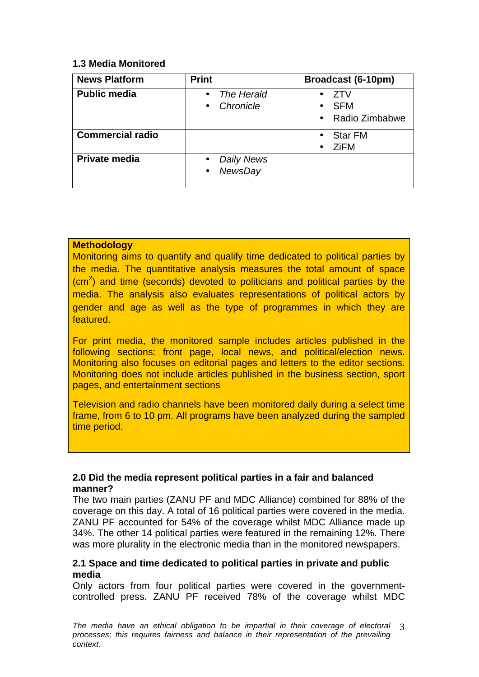### **1.3 Media Monitored**

| <b>News Platform</b>    | <b>Print</b>                                           | Broadcast (6-10pm)                              |
|-------------------------|--------------------------------------------------------|-------------------------------------------------|
| <b>Public media</b>     | The Herald<br>$\bullet$<br>Chronicle<br>$\bullet$      | 7TV<br><b>SFM</b><br>٠<br>• Radio Zimbabwe      |
| <b>Commercial radio</b> |                                                        | <b>Star FM</b><br>$\bullet$<br><b>ZiFM</b><br>٠ |
| Private media           | Daily News<br>$\bullet$<br><b>NewsDay</b><br>$\bullet$ |                                                 |

### **Methodology**

Monitoring aims to quantify and qualify time dedicated to political parties by the media. The quantitative analysis measures the total amount of space  $\rm (cm^2)$  and time (seconds) devoted to politicians and political parties by the media. The analysis also evaluates representations of political actors by gender and age as well as the type of programmes in which they are featured.

For print media, the monitored sample includes articles published in the following sections: front page, local news, and political/election news. Monitoring also focuses on editorial pages and letters to the editor sections. Monitoring does not include articles published in the business section, sport pages, and entertainment sections

Television and radio channels have been monitored daily during a select time frame, from 6 to 10 pm. All programs have been analyzed during the sampled time period.

### **2.0 Did the media represent political parties in a fair and balanced manner?**

The two main parties (ZANU PF and MDC Alliance) combined for 88% of the coverage on this day. A total of 16 political parties were covered in the media. ZANU PF accounted for 54% of the coverage whilst MDC Alliance made up 34%. The other 14 political parties were featured in the remaining 12%. There was more plurality in the electronic media than in the monitored newspapers.

### **2.1 Space and time dedicated to political parties in private and public media**

Only actors from four political parties were covered in the governmentcontrolled press. ZANU PF received 78% of the coverage whilst MDC

*The media have an ethical obligation to be impartial in their coverage of electoral*  3 *processes; this requires fairness and balance in their representation of the prevailing context.*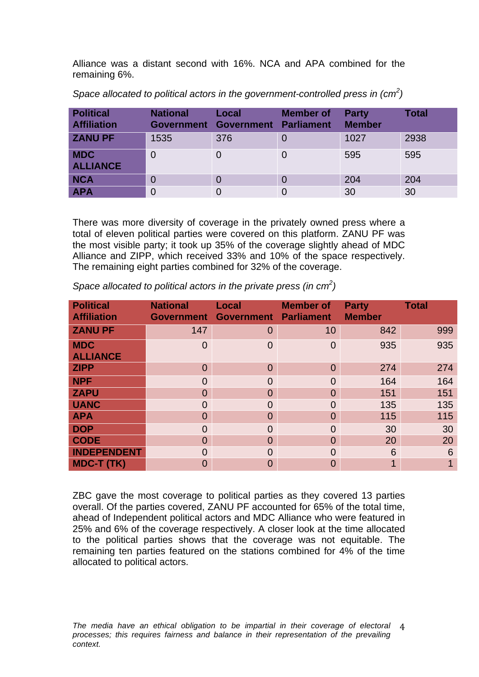Alliance was a distant second with 16%. NCA and APA combined for the remaining 6%.

| <b>Political</b><br><b>Affiliation</b> | <b>National</b> | Local<br>Government Government Parliament | <b>Member of</b> | <b>Party</b><br><b>Member</b> | <b>Total</b> |
|----------------------------------------|-----------------|-------------------------------------------|------------------|-------------------------------|--------------|
| <b>ZANU PF</b>                         | 1535            | 376                                       | O                | 1027                          | 2938         |
| <b>MDC</b><br><b>ALLIANCE</b>          | 0               |                                           |                  | 595                           | 595          |
| <b>NCA</b>                             | 0               | 0                                         |                  | 204                           | 204          |
| <b>APA</b>                             | $\mathbf 0$     |                                           |                  | 30                            | 30           |

*Space allocated to political actors in the government-controlled press in (cm<sup>2</sup> )*

There was more diversity of coverage in the privately owned press where a total of eleven political parties were covered on this platform. ZANU PF was the most visible party; it took up 35% of the coverage slightly ahead of MDC Alliance and ZIPP, which received 33% and 10% of the space respectively. The remaining eight parties combined for 32% of the coverage.

| <b>Political</b><br><b>Affiliation</b> | <b>National</b><br><b>Government</b> | <b>Local</b><br><b>Government Parliament</b> | <b>Member of</b> | <b>Party</b><br><b>Member</b> | <b>Total</b>    |
|----------------------------------------|--------------------------------------|----------------------------------------------|------------------|-------------------------------|-----------------|
| <b>ZANU PF</b>                         | 147                                  | $\overline{0}$                               | 10               | 842                           | 999             |
| <b>MDC</b><br><b>ALLIANCE</b>          | $\overline{0}$                       | $\overline{0}$                               | $\Omega$         | 935                           | 935             |
| <b>ZIPP</b>                            | $\overline{0}$                       | $\overline{0}$                               | $\Omega$         | 274                           | 274             |
| <b>NPF</b>                             | $\overline{0}$                       | $\Omega$                                     | $\Omega$         | 164                           | 164             |
| <b>ZAPU</b>                            | 0                                    | $\Omega$                                     | $\Omega$         | 151                           | 151             |
| <b>UANC</b>                            | $\overline{0}$                       | $\Omega$                                     | $\Omega$         | 135                           | 135             |
| <b>APA</b>                             | 0                                    | $\Omega$                                     | 0                | 115                           | 115             |
| <b>DOP</b>                             | $\overline{0}$                       | $\Omega$                                     | $\Omega$         | 30                            | 30              |
| <b>CODE</b>                            | $\overline{0}$                       | $\Omega$                                     | 0                | 20                            | 20              |
| <b>INDEPENDENT</b>                     | $\overline{0}$                       | $\Omega$                                     | $\Omega$         | 6                             | $6\phantom{1}6$ |
| <b>MDC-T (TK)</b>                      | $\overline{0}$                       | $\Omega$                                     | O                |                               |                 |

*Space allocated to political actors in the private press (in cm<sup>2</sup> )*

ZBC gave the most coverage to political parties as they covered 13 parties overall. Of the parties covered, ZANU PF accounted for 65% of the total time, ahead of Independent political actors and MDC Alliance who were featured in 25% and 6% of the coverage respectively. A closer look at the time allocated to the political parties shows that the coverage was not equitable. The remaining ten parties featured on the stations combined for 4% of the time allocated to political actors.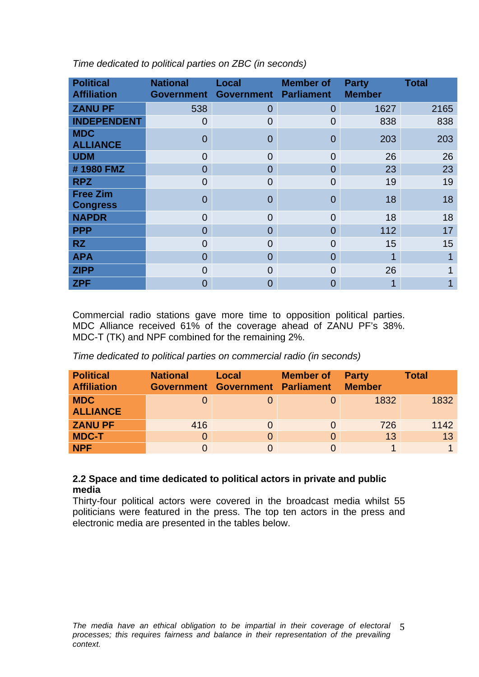| <b>Political</b><br><b>Affiliation</b> | <b>National</b><br><b>Government</b> | <b>Local</b><br>Government Parliament | <b>Member of</b> | <b>Party</b><br><b>Member</b> | <b>Total</b> |
|----------------------------------------|--------------------------------------|---------------------------------------|------------------|-------------------------------|--------------|
| <b>ZANU PF</b>                         | 538                                  | $\overline{0}$                        | $\overline{0}$   | 1627                          | 2165         |
| <b>INDEPENDENT</b>                     | 0                                    | $\overline{0}$                        | $\Omega$         | 838                           | 838          |
| <b>MDC</b><br><b>ALLIANCE</b>          | 0                                    | $\overline{0}$                        | $\Omega$         | 203                           | 203          |
| <b>UDM</b>                             | $\overline{0}$                       | $\overline{0}$                        | $\Omega$         | 26                            | 26           |
| #1980 FMZ                              | $\overline{0}$                       | $\Omega$                              | $\Omega$         | 23                            | 23           |
| <b>RPZ</b>                             | $\overline{0}$                       | $\Omega$                              | 0                | 19                            | 19           |
| <b>Free Zim</b><br><b>Congress</b>     | $\overline{0}$                       | $\overline{0}$                        | $\Omega$         | 18                            | 18           |
| <b>NAPDR</b>                           | $\overline{0}$                       | $\Omega$                              | $\Omega$         | 18                            | 18           |
| <b>PPP</b>                             | $\overline{0}$                       | $\overline{0}$                        | 0                | 112                           | 17           |
| <b>RZ</b>                              | $\overline{0}$                       | $\overline{0}$                        | 0                | 15                            | 15           |
| <b>APA</b>                             | $\overline{0}$                       | $\Omega$                              | 0                | 1                             |              |
| <b>ZIPP</b>                            | 0                                    | $\overline{0}$                        | 0                | 26                            |              |
| <b>ZPF</b>                             | 0                                    | $\overline{0}$                        | 0                | 1                             |              |

*Time dedicated to political parties on ZBC (in seconds)* 

Commercial radio stations gave more time to opposition political parties. MDC Alliance received 61% of the coverage ahead of ZANU PF's 38%. MDC-T (TK) and NPF combined for the remaining 2%.

*Time dedicated to political parties on commercial radio (in seconds)* 

| <b>Political</b><br><b>Affiliation</b> | <b>National</b> | Local<br>Government Government Parliament | <b>Member of</b> | <b>Party</b><br><b>Member</b> | <b>Total</b> |
|----------------------------------------|-----------------|-------------------------------------------|------------------|-------------------------------|--------------|
| <b>MDC</b><br><b>ALLIANCE</b>          |                 |                                           |                  | 1832                          | 1832         |
| <b>ZANU PF</b>                         | 416             | $\Omega$                                  |                  | 726                           | 1142         |
| <b>MDC-T</b>                           | 0               | $\Omega$                                  |                  | 13                            | 13           |
| <b>NPF</b>                             |                 |                                           |                  |                               |              |

### **2.2 Space and time dedicated to political actors in private and public media**

Thirty-four political actors were covered in the broadcast media whilst 55 politicians were featured in the press. The top ten actors in the press and electronic media are presented in the tables below.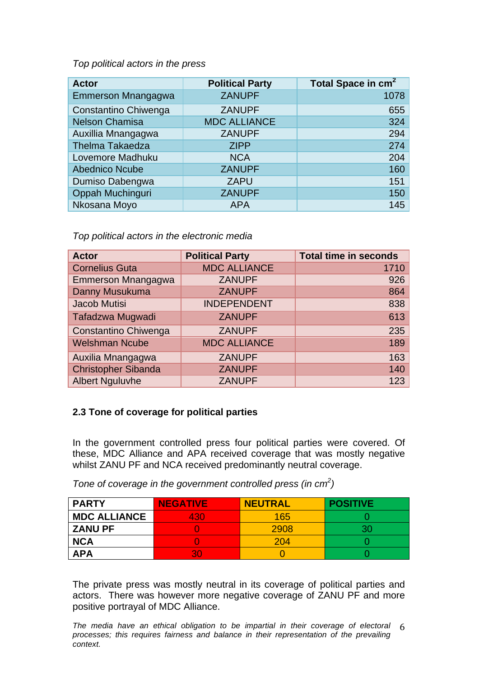*Top political actors in the press* 

| <b>Actor</b>           | <b>Political Party</b> | Total Space in cm <sup>2</sup> |
|------------------------|------------------------|--------------------------------|
| Emmerson Mnangagwa     | <b>ZANUPF</b>          | 1078                           |
| Constantino Chiwenga   | <b>ZANUPF</b>          | 655                            |
| <b>Nelson Chamisa</b>  | <b>MDC ALLIANCE</b>    | 324                            |
| Auxillia Mnangagwa     | <b>ZANUPF</b>          | 294                            |
| <b>Thelma Takaedza</b> | <b>ZIPP</b>            | 274                            |
| Lovemore Madhuku       | <b>NCA</b>             | 204                            |
| <b>Abednico Ncube</b>  | <b>ZANUPF</b>          | 160                            |
| Dumiso Dabengwa        | <b>ZAPU</b>            | 151                            |
| Oppah Muchinguri       | <b>ZANUPF</b>          | 150                            |
| Nkosana Moyo           | <b>APA</b>             | 145                            |

*Top political actors in the electronic media* 

| <b>Actor</b>               | <b>Political Party</b> | <b>Total time in seconds</b> |
|----------------------------|------------------------|------------------------------|
| <b>Cornelius Guta</b>      | <b>MDC ALLIANCE</b>    | 1710                         |
| Emmerson Mnangagwa         | <b>ZANUPF</b>          | 926                          |
| Danny Musukuma             | <b>ZANUPF</b>          | 864                          |
| Jacob Mutisi               | <b>INDEPENDENT</b>     | 838                          |
| Tafadzwa Mugwadi           | <b>ZANUPF</b>          | 613                          |
| Constantino Chiwenga       | <b>ZANUPF</b>          | 235                          |
| <b>Welshman Ncube</b>      | <b>MDC ALLIANCE</b>    | 189                          |
| Auxilia Mnangagwa          | <b>ZANUPF</b>          | 163                          |
| <b>Christopher Sibanda</b> | <b>ZANUPF</b>          | 140                          |
| <b>Albert Nguluvhe</b>     | <b>ZANUPF</b>          | 123                          |

### **2.3 Tone of coverage for political parties**

In the government controlled press four political parties were covered. Of these, MDC Alliance and APA received coverage that was mostly negative whilst ZANU PF and NCA received predominantly neutral coverage.

*Tone of coverage in the government controlled press (in cm<sup>2</sup> )*

| <b>PARTY</b>        | <b>NEGATIVE</b> | <b>NEUTRAL</b> | <b>POSITIVE</b> |
|---------------------|-----------------|----------------|-----------------|
| <b>MDC ALLIANCE</b> | 430             | 165            |                 |
| <b>ZANU PF</b>      |                 | 2908           |                 |
| <b>NCA</b>          |                 | 204            |                 |
| <b>APA</b>          | 30              |                |                 |

The private press was mostly neutral in its coverage of political parties and actors. There was however more negative coverage of ZANU PF and more positive portrayal of MDC Alliance.

*The media have an ethical obligation to be impartial in their coverage of electoral*  6 *processes; this requires fairness and balance in their representation of the prevailing context.*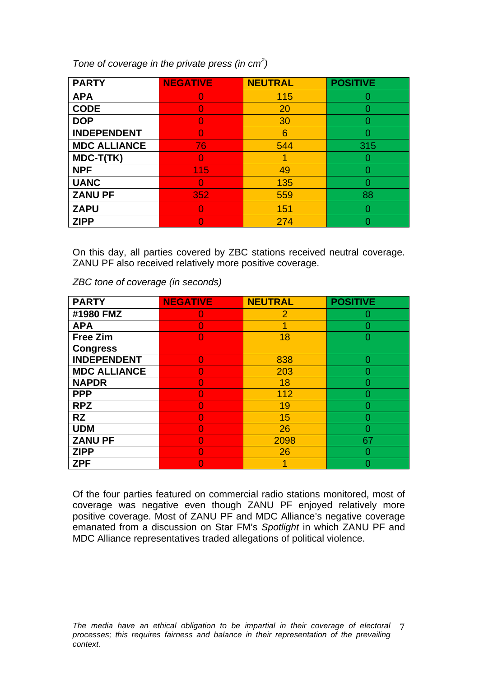*Tone of coverage in the private press (in cm<sup>2</sup> )*

| <b>PARTY</b>        | <b>NEGATIVE</b> | <b>NEUTRAL</b> | <b>POSITIVE</b> |
|---------------------|-----------------|----------------|-----------------|
| <b>APA</b>          |                 | 115            |                 |
| <b>CODE</b>         |                 | 20             |                 |
| <b>DOP</b>          |                 | 30             |                 |
| <b>INDEPENDENT</b>  |                 | 6              |                 |
| <b>MDC ALLIANCE</b> | 76              | 544            | 315             |
| MDC-T(TK)           |                 |                |                 |
| <b>NPF</b>          | 115             | 49             |                 |
| <b>UANC</b>         |                 | 135            |                 |
| <b>ZANU PF</b>      | 352             | 559            | 88              |
| <b>ZAPU</b>         |                 | 151            |                 |
| <b>ZIPP</b>         |                 | 274            |                 |

On this day, all parties covered by ZBC stations received neutral coverage. ZANU PF also received relatively more positive coverage.

*ZBC tone of coverage (in seconds)* 

| <b>PARTY</b>        | <b>NEGATIVE</b> | <b>NEUTRAL</b> | <b>POSITIVE</b> |
|---------------------|-----------------|----------------|-----------------|
| #1980 FMZ           |                 | 2              | Ω               |
| <b>APA</b>          |                 |                |                 |
| <b>Free Zim</b>     |                 | 18             | 0               |
| <b>Congress</b>     |                 |                |                 |
| <b>INDEPENDENT</b>  |                 | 838            | O               |
| <b>MDC ALLIANCE</b> |                 | 203            |                 |
| <b>NAPDR</b>        |                 | 18             |                 |
| <b>PPP</b>          |                 | 112            |                 |
| <b>RPZ</b>          |                 | 19             |                 |
| <b>RZ</b>           |                 | 15             |                 |
| <b>UDM</b>          |                 | 26             |                 |
| <b>ZANU PF</b>      |                 | 2098           | 67              |
| <b>ZIPP</b>         |                 | 26             |                 |
| <b>ZPF</b>          |                 |                |                 |

Of the four parties featured on commercial radio stations monitored, most of coverage was negative even though ZANU PF enjoyed relatively more positive coverage. Most of ZANU PF and MDC Alliance's negative coverage emanated from a discussion on Star FM's *Spotlight* in which ZANU PF and MDC Alliance representatives traded allegations of political violence.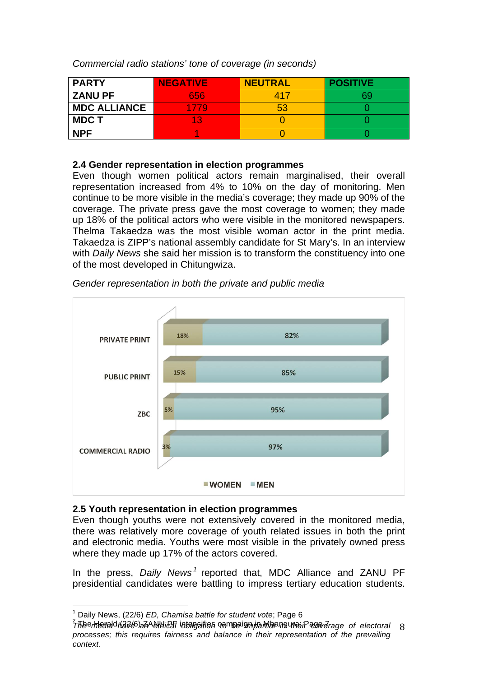*Commercial radio stations' tone of coverage (in seconds)*

| <b>PARTY</b>        | <b>NEGATIVE</b> | <b>NEUTRAL</b> | <b>POSITIVE</b> |
|---------------------|-----------------|----------------|-----------------|
| <b>ZANU PF</b>      | 656             | 417            |                 |
| <b>MDC ALLIANCE</b> | 1779            | 53             |                 |
| <b>MDCT</b>         | 13              |                |                 |
| <b>NPF</b>          |                 |                |                 |

### **2.4 Gender representation in election programmes**

Even though women political actors remain marginalised, their overall representation increased from 4% to 10% on the day of monitoring. Men continue to be more visible in the media's coverage; they made up 90% of the coverage. The private press gave the most coverage to women; they made up 18% of the political actors who were visible in the monitored newspapers. Thelma Takaedza was the most visible woman actor in the print media. Takaedza is ZIPP's national assembly candidate for St Mary's. In an interview with *Daily News* she said her mission is to transform the constituency into one of the most developed in Chitungwiza.



*Gender representation in both the private and public media* 

### **2.5 Youth representation in election programmes**

Even though youths were not extensively covered in the monitored media, there was relatively more coverage of youth related issues in both the print and electronic media. Youths were most visible in the privately owned press where they made up 17% of the actors covered.

In the press, *Daily News <sup>1</sup>* reported that, MDC Alliance and ZANU PF presidential candidates were battling to impress tertiary education students.

*The media have an ethical obligation to be impartial in their coverage of electoral*  8 <sup>1</sup> Daily News, (22/6) *ED, Chamisa battle for student vote*; Page 6 <sup>2</sup> The Herald (22/6) ZANU PF intensifies campaign in Mhangura; Page 7*processes; this requires fairness and balance in their representation of the prevailing context.*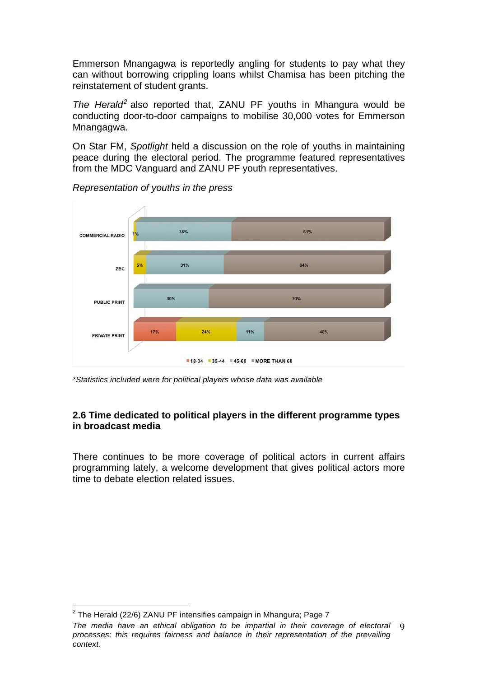Emmerson Mnangagwa is reportedly angling for students to pay what they can without borrowing crippling loans whilst Chamisa has been pitching the reinstatement of student grants.

*The Herald<sup>2</sup>* also reported that, ZANU PF youths in Mhangura would be conducting door-to-door campaigns to mobilise 30,000 votes for Emmerson Mnangagwa.

On Star FM, *Spotlight* held a discussion on the role of youths in maintaining peace during the electoral period. The programme featured representatives from the MDC Vanguard and ZANU PF youth representatives.



*Representation of youths in the press* 

*\*Statistics included were for political players whose data was available*

### **2.6 Time dedicated to political players in the different programme types in broadcast media**

There continues to be more coverage of political actors in current affairs programming lately, a welcome development that gives political actors more time to debate election related issues.

 $2$  The Herald (22/6) ZANU PF intensifies campaign in Mhangura; Page 7

The media have an ethical obligation to be impartial in their coverage of electoral 9 *processes; this requires fairness and balance in their representation of the prevailing context.*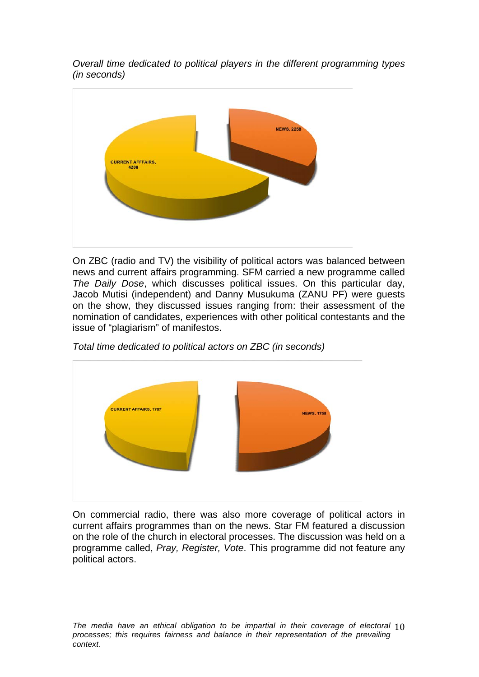*Overall time dedicated to political players in the different programming types (in seconds)*



On ZBC (radio and TV) the visibility of political actors was balanced between news and current affairs programming. SFM carried a new programme called *The Daily Dose*, which discusses political issues. On this particular day, Jacob Mutisi (independent) and Danny Musukuma (ZANU PF) were guests on the show, they discussed issues ranging from: their assessment of the nomination of candidates, experiences with other political contestants and the issue of "plagiarism" of manifestos.

*Total time dedicated to political actors on ZBC (in seconds)*



On commercial radio, there was also more coverage of political actors in current affairs programmes than on the news. Star FM featured a discussion on the role of the church in electoral processes. The discussion was held on a programme called, *Pray, Register, Vote*. This programme did not feature any political actors.

The media have an ethical obligation to be impartial in their coverage of electoral 10 *processes; this requires fairness and balance in their representation of the prevailing context.*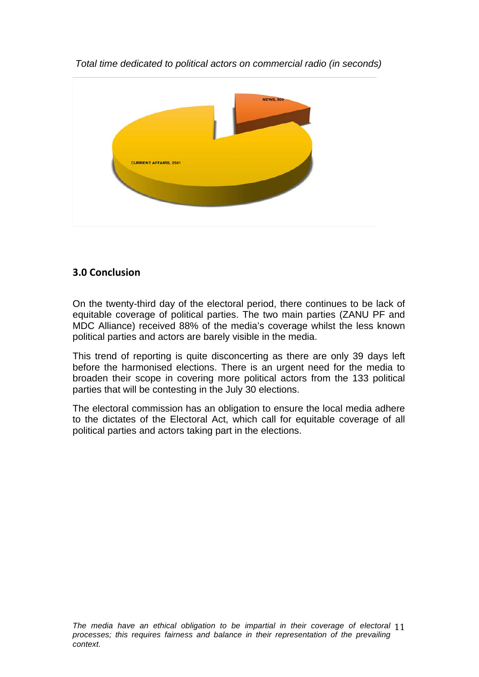

*Total time dedicated to political actors on commercial radio (in seconds)* 

# **3.0 Conclusion**

On the twenty-third day of the electoral period, there continues to be lack of equitable coverage of political parties. The two main parties (ZANU PF and MDC Alliance) received 88% of the media's coverage whilst the less known political parties and actors are barely visible in the media.

This trend of reporting is quite disconcerting as there are only 39 days left before the harmonised elections. There is an urgent need for the media to broaden their scope in covering more political actors from the 133 political parties that will be contesting in the July 30 elections.

The electoral commission has an obligation to ensure the local media adhere to the dictates of the Electoral Act, which call for equitable coverage of all political parties and actors taking part in the elections.